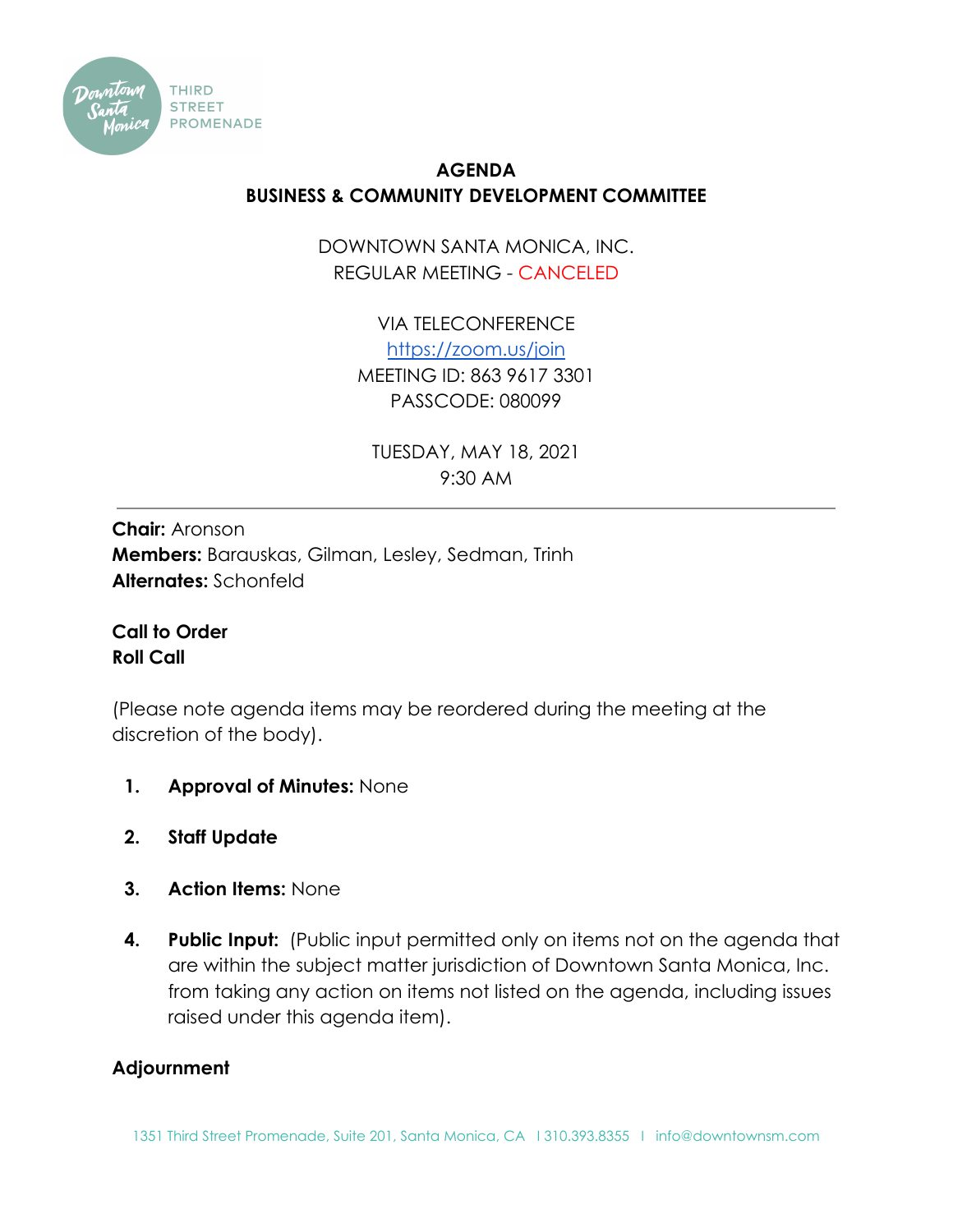

## **AGENDA BUSINESS & COMMUNITY DEVELOPMENT COMMITTEE**

DOWNTOWN SANTA MONICA, INC. REGULAR MEETING - CANCELED

> VIA TELECONFERENCE <https://zoom.us/join> MEETING ID: 863 9617 3301 PASSCODE: 080099

TUESDAY, MAY 18, 2021 9:30 AM

**Chair:** Aronson **Members:** Barauskas, Gilman, Lesley, Sedman, Trinh **Alternates:** Schonfeld

**Call to Order Roll Call**

(Please note agenda items may be reordered during the meeting at the discretion of the body).

- **1. Approval of Minutes:** None
- **2. Staff Update**
- **3. Action Items:** None
- **4. Public Input:** (Public input permitted only on items not on the agenda that are within the subject matter jurisdiction of Downtown Santa Monica, Inc. from taking any action on items not listed on the agenda, including issues raised under this agenda item).

## **Adjournment**